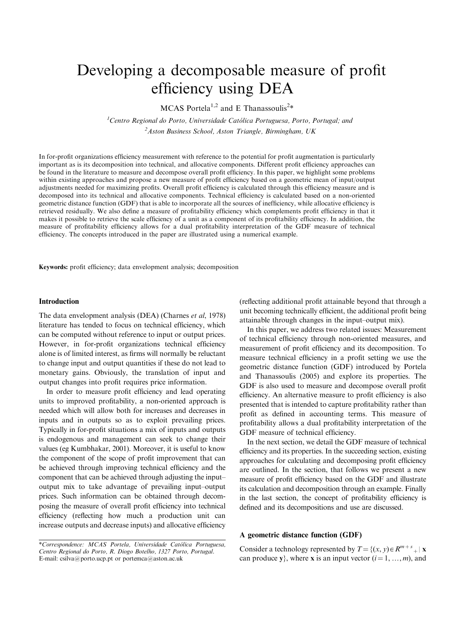# Developing a decomposable measure of profit efficiency using DEA

MCAS Portela<sup>1,2</sup> and E Thanassoulis<sup>2\*</sup>

<sup>1</sup>Centro Regional do Porto, Universidade Católica Portuguesa, Porto, Portugal; and  $^{2}$ Aston Business School, Aston Triangle, Birmingham, UK

In for-profit organizations efficiency measurement with reference to the potential for profit augmentation is particularly important as is its decomposition into technical, and allocative components. Different profit efficiency approaches can be found in the literature to measure and decompose overall profit efficiency. In this paper, we highlight some problems within existing approaches and propose a new measure of profit efficiency based on a geometric mean of input/output adjustments needed for maximizing profits. Overall profit efficiency is calculated through this efficiency measure and is decomposed into its technical and allocative components. Technical efficiency is calculated based on a non-oriented geometric distance function (GDF) that is able to incorporate all the sources of inefficiency, while allocative efficiency is retrieved residually. We also define a measure of profitability efficiency which complements profit efficiency in that it makes it possible to retrieve the scale efficiency of a unit as a component of its profitability efficiency. In addition, the measure of profitability efficiency allows for a dual profitability interpretation of the GDF measure of technical efficiency. The concepts introduced in the paper are illustrated using a numerical example.

Keywords: profit efficiency; data envelopment analysis; decomposition

#### Introduction

The data envelopment analysis (DEA) (Charnes et al, 1978) literature has tended to focus on technical efficiency, which can be computed without reference to input or output prices. However, in for-profit organizations technical efficiency alone is of limited interest, as firms will normally be reluctant to change input and output quantities if these do not lead to monetary gains. Obviously, the translation of input and output changes into profit requires price information.

In order to measure profit efficiency and lead operating units to improved profitability, a non-oriented approach is needed which will allow both for increases and decreases in inputs and in outputs so as to exploit prevailing prices. Typically in for-profit situations a mix of inputs and outputs is endogenous and management can seek to change their values (eg Kumbhakar, 2001). Moreover, it is useful to know the component of the scope of profit improvement that can be achieved through improving technical efficiency and the component that can be achieved through adjusting the input– output mix to take advantage of prevailing input–output prices. Such information can be obtained through decomposing the measure of overall profit efficiency into technical efficiency (reflecting how much a production unit can increase outputs and decrease inputs) and allocative efficiency (reflecting additional profit attainable beyond that through a unit becoming technically efficient, the additional profit being attainable through changes in the input–output mix).

In this paper, we address two related issues: Measurement of technical efficiency through non-oriented measures, and measurement of profit efficiency and its decomposition. To measure technical efficiency in a profit setting we use the geometric distance function (GDF) introduced by Portela and Thanassoulis (2005) and explore its properties. The GDF is also used to measure and decompose overall profit efficiency. An alternative measure to profit efficiency is also presented that is intended to capture profitability rather than profit as defined in accounting terms. This measure of profitability allows a dual profitability interpretation of the GDF measure of technical efficiency.

In the next section, we detail the GDF measure of technical efficiency and its properties. In the succeeding section, existing approaches for calculating and decomposing profit efficiency are outlined. In the section, that follows we present a new measure of profit efficiency based on the GDF and illustrate its calculation and decomposition through an example. Finally in the last section, the concept of profitability efficiency is defined and its decompositions and use are discussed.

# A geometric distance function (GDF)

Consider a technology represented by  $T = \{(x, y) \in R^{m+s} \mid \mathbf{x} \in R^m \}$ can produce y, where x is an input vector  $(i = 1, ..., m)$ , and

 $*Correspondence: MCAS$  Portela, Universidade Católica Portuguesa, Centro Regional do Porto, R. Diogo Botelho, 1327 Porto, Portugal. E-mail: csilva@porto.ucp.pt or portemca@aston.ac.uk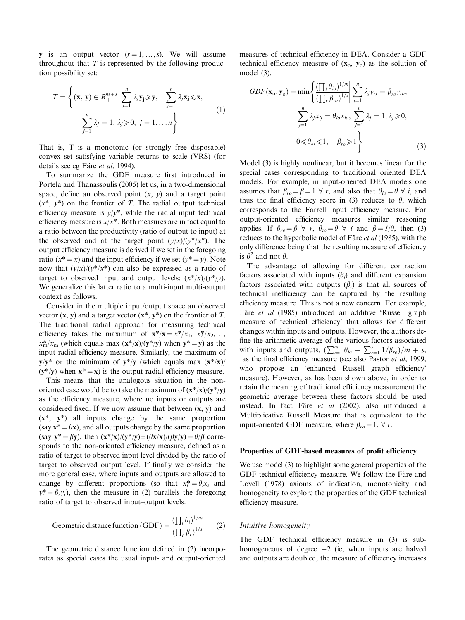y is an output vector  $(r=1,\ldots,s)$ . We will assume throughout that  $T$  is represented by the following production possibility set:

$$
T = \left\{ (\mathbf{x}, \mathbf{y}) \in R_+^{m+s} \middle| \sum_{j=1}^n \lambda_j \mathbf{y_j} \ge \mathbf{y}, \quad \sum_{j=1}^n \lambda_j \mathbf{x_j} \le \mathbf{x}, \atop \sum_{j=1}^n \lambda_j = 1, \lambda_j \ge 0, \ j = 1, \dots n \right\}
$$
 (1)

That is, T is a monotonic (or strongly free disposable) convex set satisfying variable returns to scale (VRS) (for details see eg Färe et al, 1994).

To summarize the GDF measure first introduced in Portela and Thanassoulis (2005) let us, in a two-dimensional space, define an observed point  $(x, y)$  and a target point  $(x^*, y^*)$  on the frontier of T. The radial output technical efficiency measure is  $v/v^*$ , while the radial input technical efficiency measure is  $x/x^*$ . Both measures are in fact equal to a ratio between the productivity (ratio of output to input) at the observed and at the target point  $(y/x)/(y^*/x^*)$ . The output efficiency measure is derived if we set in the foregoing ratio ( $x^* = x$ ) and the input efficiency if we set ( $y^* = y$ ). Note now that  $(y/x)/(y^*/x^*)$  can also be expressed as a ratio of target to observed input and output levels:  $(x^*/x)/(y^*/y)$ . We generalize this latter ratio to a multi-input multi-output context as follows.

Consider in the multiple input/output space an observed vector  $(x, y)$  and a target vector  $(x^*, y^*)$  on the frontier of T. The traditional radial approach for measuring technical efficiency takes the maximum of  $\mathbf{x}^* / \mathbf{x} = x_1^* / x_1, x_2^* / x_2, \dots$  $x_m^*/x_m$  (which equals max  $(x^*/x)/(y^*/y)$  when  $y^*=y$ ) as the input radial efficiency measure. Similarly, the maximum of  $y/y^*$  or the minimum of  $y^*/y$  (which equals max  $(x^*/x)/y$  $(y^*/y)$  when  $x^* = x$ ) is the output radial efficiency measure.

This means that the analogous situation in the nonoriented case would be to take the maximum of  $(x^*/x)/(y^*/y)$ as the efficiency measure, where no inputs or outputs are considered fixed. If we now assume that between  $(x, y)$  and  $(x^*, y^*)$  all inputs change by the same proportion (say  $x^* = \theta x$ ), and all outputs change by the same proportion (say  $y^* = \beta y$ ), then  $(x^*/x)/(y^*/y) = (\theta x/x)/(\beta y/y) = \theta/\beta$  corresponds to the non-oriented efficiency measure, defined as a ratio of target to observed input level divided by the ratio of target to observed output level. If finally we consider the more general case, where inputs and outputs are allowed to change by different proportions (so that  $x_i^* = \theta_i x_i$  and  $y_r^* = \beta_r y_r$ , then the measure in (2) parallels the foregoing ratio of target to observed input–output levels.

Geometric distance function (GDF) = 
$$
\frac{\left(\prod_i \theta_i\right)^{1/m}}{\left(\prod_r \beta_r\right)^{1/s}}
$$
 (2)

The geometric distance function defined in (2) incorporates as special cases the usual input- and output-oriented measures of technical efficiency in DEA. Consider a GDF technical efficiency measure of  $(x_0, y_0)$  as the solution of model (3).

$$
GDF(\mathbf{x}_{o}, \mathbf{y}_{o}) = \min \left\{ \frac{\left(\prod_{i} \theta_{io}\right)^{1/m}}{\left(\prod_{r} \beta_{ro}\right)^{1/s}} \middle| \sum_{j=1}^{n} \lambda_{j} y_{rj} = \beta_{ro} y_{ro}, \right\}
$$
\n
$$
\sum_{j=1}^{n} \lambda_{j} x_{ij} = \theta_{io} x_{io}, \sum_{j=1}^{n} \lambda_{j} = 1, \lambda_{j} \geq 0,
$$
\n
$$
0 \leq \theta_{io} \leq 1, \quad \beta_{ro} \geq 1 \right\}
$$
\n(3)

Model (3) is highly nonlinear, but it becomes linear for the special cases corresponding to traditional oriented DEA models. For example, in input-oriented DEA models one assumes that  $\beta_{ro} = \beta = 1 \ \forall \ r$ , and also that  $\theta_{io} = \theta \ \forall \ i$ , and thus the final efficiency score in (3) reduces to  $\theta$ , which corresponds to the Farrell input efficiency measure. For output-oriented efficiency measures similar reasoning applies. If  $\beta_{ro} = \beta \ \forall \ r, \ \theta_{io} = \theta \ \forall \ i$  and  $\beta = 1/\theta$ , then (3) reduces to the hyperbolic model of Färe et al (1985), with the only difference being that the resulting measure of efficiency is  $\theta^2$  and not  $\theta$ .

The advantage of allowing for different contraction factors associated with inputs  $(\theta_i)$  and different expansion factors associated with outputs  $(\beta_r)$  is that all sources of technical inefficiency can be captured by the resulting efficiency measure. This is not a new concern. For example, Färe et al (1985) introduced an additive 'Russell graph measure of technical efficiency' that allows for different changes within inputs and outputs. However, the authors define the arithmetic average of the various factors associated with inputs and outputs,  $\left(\sum_{i=1}^{m} \theta_{io} + \sum_{r=1}^{s} 1/\beta_{ro}\right)/m + s$ , as the final efficiency measure (see also Pastor et al, 1999, who propose an 'enhanced Russell graph efficiency' measure). However, as has been shown above, in order to retain the meaning of traditional efficiency measurement the geometric average between these factors should be used instead. In fact Färe et al (2002), also introduced a Multiplicative Russell Measure that is equivalent to the input-oriented GDF measure, where  $\beta_{ro} = 1$ ,  $\forall r$ .

#### Properties of GDF-based measures of profit efficiency

We use model (3) to highlight some general properties of the GDF technical efficiency measure. We follow the Färe and Lovell (1978) axioms of indication, monotonicity and homogeneity to explore the properties of the GDF technical efficiency measure.

## Intuitive homogeneity

The GDF technical efficiency measure in (3) is subhomogeneous of degree  $-2$  (ie, when inputs are halved and outputs are doubled, the measure of efficiency increases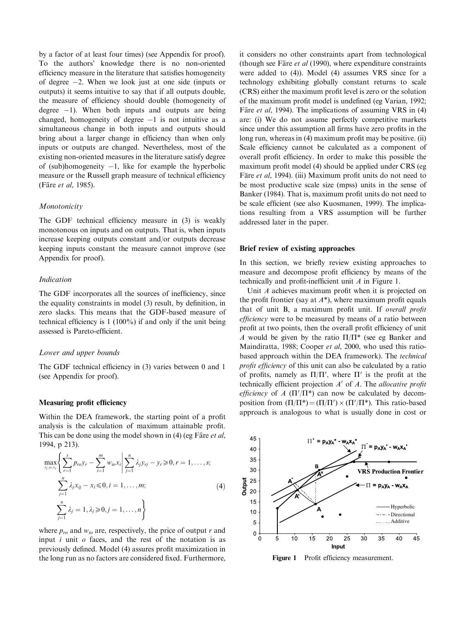by a factor of at least four times) (see Appendix for proof). To the authors' knowledge there is no non-oriented efficiency measure in the literature that satisfies homogeneity of degree  $-2$ . When we look just at one side (inputs or outputs) it seems intuitive to say that if all outputs double, the measure of efficiency should double (homogeneity of degree  $-1$ ). When both inputs and outputs are being changed, homogeneity of degree  $-1$  is not intuitive as a simultaneous change in both inputs and outputs should bring about a larger change in efficiency than when only inputs or outputs are changed. Nevertheless, most of the existing non-oriented measures in the literature satisfy degree of (sub)homogeneity  $-1$ , like for example the hyperbolic measure or the Russell graph measure of technical efficiency (Färe et al, 1985).

## Monotonicity

The GDF technical efficiency measure in (3) is weakly monotonous on inputs and on outputs. That is, when inputs increase keeping outputs constant and/or outputs decrease keeping inputs constant the measure cannot improve (see Appendix for proof).

## Indication

The GDF incorporates all the sources of inefficiency, since the equality constraints in model (3) result, by definition, in zero slacks. This means that the GDF-based measure of technical efficiency is 1 (100%) if and only if the unit being assessed is Pareto-efficient.

#### Lower and upper bounds

The GDF technical efficiency in (3) varies between 0 and 1 (see Appendix for proof).

#### Measuring profit efficiency

Within the DEA framework, the starting point of a profit analysis is the calculation of maximum attainable profit. This can be done using the model shown in  $(4)$  (eg Färe *et al*, 1994, p 213).

$$
\max_{\lambda_j, y, x_i} \left\{ \sum_{r=1}^s p_{ro} y_r - \sum_{i=1}^m w_{io} x_i \middle| \sum_{j=1}^n \lambda_j y_{rj} - y_r \ge 0, r = 1, ..., s; \right\}
$$
\n
$$
\sum_{j=1}^n \lambda_j x_{ij} - x_i \le 0, i = 1, ..., m; \tag{4}
$$
\n
$$
\sum_{j=1}^n \lambda_j = 1, \lambda_j \ge 0, j = 1, ..., n \right\}
$$

where  $p_{ro}$  and  $w_{io}$  are, respectively, the price of output r and input  $i$  unit  $o$  faces, and the rest of the notation is as previously defined. Model (4) assures profit maximization in the long run as no factors are considered fixed. Furthermore,

it considers no other constraints apart from technological (though see Färe  $et$  al (1990), where expenditure constraints were added to (4)). Model (4) assumes VRS since for a technology exhibiting globally constant returns to scale (CRS) either the maximum profit level is zero or the solution of the maximum profit model is undefined (eg Varian, 1992; Färe et al, 1994). The implications of assuming VRS in (4) are: (i) We do not assume perfectly competitive markets since under this assumption all firms have zero profits in the long run, whereas in (4) maximum profit may be positive. (ii) Scale efficiency cannot be calculated as a component of overall profit efficiency. In order to make this possible the maximum profit model (4) should be applied under CRS (eg Färe et al, 1994). (iii) Maximum profit units do not need to be most productive scale size (mpss) units in the sense of Banker (1984). That is, maximum profit units do not need to be scale efficient (see also Kuosmanen, 1999). The implications resulting from a VRS assumption will be further addressed later in the paper.

## Brief review of existing approaches

In this section, we briefly review existing approaches to measure and decompose profit efficiency by means of the technically and profit-inefficient unit A in Figure 1.

Unit A achieves maximum profit when it is projected on the profit frontier (say at  $A^*$ ), where maximum profit equals that of unit B, a maximum profit unit. If overall profit efficiency were to be measured by means of a ratio between profit at two points, then the overall profit efficiency of unit A would be given by the ratio  $\Pi/\Pi^*$  (see eg Banker and Maindiratta, 1988; Cooper et al, 2000, who used this ratiobased approach within the DEA framework). The technical profit efficiency of this unit can also be calculated by a ratio of profits, namely as  $\Pi/\Pi'$ , where  $\Pi'$  is the profit at the technically efficient projection  $A'$  of A. The *allocative profit* efficiency of A  $(\Pi'/\Pi^*)$  can now be calculated by decomposition from  $(\Pi/\Pi^*) = (\Pi/\Pi') \times (\Pi'/\Pi^*)$ . This ratio-based approach is analogous to what is usually done in cost or



Figure 1 Profit efficiency measurement.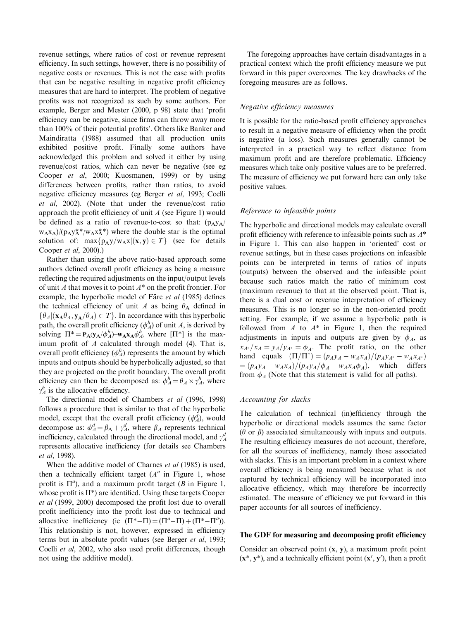revenue settings, where ratios of cost or revenue represent efficiency. In such settings, however, there is no possibility of negative costs or revenues. This is not the case with profits that can be negative resulting in negative profit efficiency measures that are hard to interpret. The problem of negative profits was not recognized as such by some authors. For example, Berger and Mester (2000, p 98) state that 'profit efficiency can be negative, since firms can throw away more than 100% of their potential profits'. Others like Banker and Maindiratta (1988) assumed that all production units exhibited positive profit. Finally some authors have acknowledged this problem and solved it either by using revenue/cost ratios, which can never be negative (see eg Cooper et al, 2000; Kuosmanen, 1999) or by using differences between profits, rather than ratios, to avoid negative efficiency measures (eg Berger et al, 1993; Coelli et al, 2002). (Note that under the revenue/cost ratio approach the profit efficiency of unit  $A$  (see Figure 1) would be defined as a ratio of revenue-to-cost so that:  $(p_A y_A)$  $w_A x_A$ /( $p_A y_A^*$ \*/ $w_A x_A^*$ \*) where the double star is the optimal solution of:  $\max\{p_A y/w_A x | (x, y) \in T\}$  (see for details Cooper et al, 2000).)

Rather than using the above ratio-based approach some authors defined overall profit efficiency as being a measure reflecting the required adjustments on the input/output levels of unit A that moves it to point  $A^*$  on the profit frontier. For example, the hyperbolic model of Färe et al (1985) defines the technical efficiency of unit A as being  $\theta_A$  defined in  $\{\theta_A | (\mathbf{x}_A \theta_A, \mathbf{y}_A/\theta_A) \in T\}$ . In accordance with this hyperbolic path, the overall profit efficiency  $(\phi_A^h)$  of unit A, is derived by solving  $\Pi^* = P_A(y_A/\phi_A^h) - w_A x_A \phi_A^h$ , where  $[\Pi^*]$  is the maximum profit of  $A$  calculated through model (4). That is, overall profit efficiency  $(\phi_A^h)$  represents the amount by which inputs and outputs should be hyperbolically adjusted, so that they are projected on the profit boundary. The overall profit efficiency can then be decomposed as:  $\phi_A^h = \theta_A \times \gamma_A^h$ , where  $\gamma_A^h$  is the allocative efficiency.

The directional model of Chambers et al (1996, 1998) follows a procedure that is similar to that of the hyperbolic model, except that the overall profit efficiency  $(\phi_A^d)$ , would decompose as:  $\phi_A^d = \beta_A + \gamma_A^d$ , where  $\beta_A$  represents technical inefficiency, calculated through the directional model, and  $\gamma_A^d$ represents allocative inefficiency (for details see Chambers et al, 1998).

When the additive model of Charnes *et al* (1985) is used. then a technically efficient target  $(A^a)$  in Figure 1, whose profit is  $\Pi^a$ ), and a maximum profit target (B in Figure 1, whose profit is II\*) are identified. Using these targets Cooper et al (1999, 2000) decomposed the profit lost due to overall profit inefficiency into the profit lost due to technical and allocative inefficiency (ie  $(\Pi^* - \Pi) = (\Pi^a - \Pi) + (\Pi^* - \Pi^a)$ ). This relationship is not, however, expressed in efficiency terms but in absolute profit values (see Berger et al, 1993; Coelli et al, 2002, who also used profit differences, though not using the additive model).

The foregoing approaches have certain disadvantages in a practical context which the profit efficiency measure we put forward in this paper overcomes. The key drawbacks of the foregoing measures are as follows.

#### Negative efficiency measures

It is possible for the ratio-based profit efficiency approaches to result in a negative measure of efficiency when the profit is negative (a loss). Such measures generally cannot be interpreted in a practical way to reflect distance from maximum profit and are therefore problematic. Efficiency measures which take only positive values are to be preferred. The measure of efficiency we put forward here can only take positive values.

## Reference to infeasible points

The hyperbolic and directional models may calculate overall profit efficiency with reference to infeasible points such as  $A^*$ in Figure 1. This can also happen in 'oriented' cost or revenue settings, but in these cases projections on infeasible points can be interpreted in terms of ratios of inputs (outputs) between the observed and the infeasible point because such ratios match the ratio of minimum cost (maximum revenue) to that at the observed point. That is, there is a dual cost or revenue interpretation of efficiency measures. This is no longer so in the non-oriented profit setting. For example, if we assume a hyperbolic path is followed from  $A$  to  $A^*$  in Figure 1, then the required adjustments in inputs and outputs are given by  $\phi_A$ , as  $x_{A^*}/x_A = y_A/y_{A^*} = \phi_A$ . The profit ratio, on the other hand equals  $(\Pi/\Pi^*) = (p_A y_A - w_A x_A)/(p_A y_{A^*} - w_A x_{A^*})$  $= (p_A y_A - w_A x_A)/(p_A y_A/\phi_A - w_A x_A \phi_A)$ , which differs from  $\phi_A$  (Note that this statement is valid for all paths).

#### Accounting for slacks

The calculation of technical (in)efficiency through the hyperbolic or directional models assumes the same factor ( $\theta$  or  $\beta$ ) associated simultaneously with inputs and outputs. The resulting efficiency measures do not account, therefore, for all the sources of inefficiency, namely those associated with slacks. This is an important problem in a context where overall efficiency is being measured because what is not captured by technical efficiency will be incorporated into allocative efficiency, which may therefore be incorrectly estimated. The measure of efficiency we put forward in this paper accounts for all sources of inefficiency.

#### The GDF for measuring and decomposing profit efficiency

Consider an observed point (x, y), a maximum profit point  $(x^*, y^*)$ , and a technically efficient point  $(x', y')$ , then a profit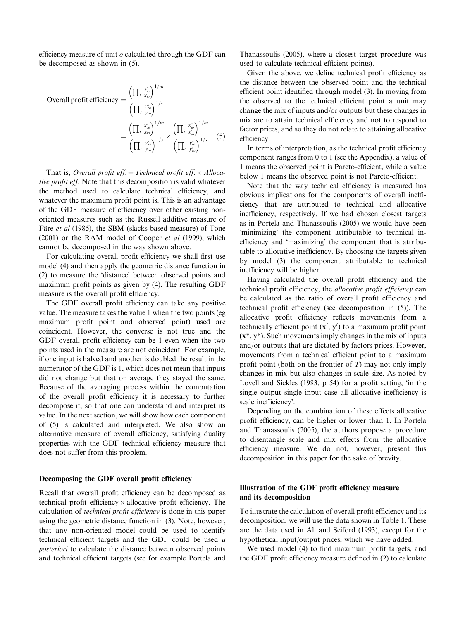efficiency measure of unit  $o$  calculated through the GDF can be decomposed as shown in (5).

Overall profit efficiency 
$$
= \frac{\left(\prod_{i} \frac{x_{io}^{*}}{x_{io}}\right)^{1/m}}{\left(\prod_{r} \frac{y_{ro}^{*}}{y_{ro}}\right)^{1/s}}
$$

$$
= \frac{\left(\prod_{i} \frac{x_{io}^{*}}{x_{io}}\right)^{1/m}}{\left(\prod_{r} \frac{y_{ro}^{*}}{y_{ro}}\right)^{1/s}} \times \frac{\left(\prod_{i} \frac{x_{io}^{*}}{x_{io}^{*}}\right)^{1/m}}{\left(\prod_{r} \frac{y_{ro}^{*}}{y_{ro}^{*}}\right)^{1/s}} \quad (5)
$$

That is, Overall profit eff. = Technical profit eff.  $\times$  Allocative profit eff. Note that this decomposition is valid whatever the method used to calculate technical efficiency, and whatever the maximum profit point is. This is an advantage of the GDF measure of efficiency over other existing nonoriented measures such as the Russell additive measure of Färe et al (1985), the SBM (slacks-based measure) of Tone (2001) or the RAM model of Cooper et al (1999), which cannot be decomposed in the way shown above.

For calculating overall profit efficiency we shall first use model (4) and then apply the geometric distance function in (2) to measure the 'distance' between observed points and maximum profit points as given by (4). The resulting GDF measure is the overall profit efficiency.

The GDF overall profit efficiency can take any positive value. The measure takes the value 1 when the two points (eg maximum profit point and observed point) used are coincident. However, the converse is not true and the GDF overall profit efficiency can be 1 even when the two points used in the measure are not coincident. For example, if one input is halved and another is doubled the result in the numerator of the GDF is 1, which does not mean that inputs did not change but that on average they stayed the same. Because of the averaging process within the computation of the overall profit efficiency it is necessary to further decompose it, so that one can understand and interpret its value. In the next section, we will show how each component of (5) is calculated and interpreted. We also show an alternative measure of overall efficiency, satisfying duality properties with the GDF technical efficiency measure that does not suffer from this problem.

## Decomposing the GDF overall profit efficiency

Recall that overall profit efficiency can be decomposed as technical profit efficiency  $\times$  allocative profit efficiency. The calculation of technical profit efficiency is done in this paper using the geometric distance function in (3). Note, however, that any non-oriented model could be used to identify technical efficient targets and the GDF could be used a posteriori to calculate the distance between observed points and technical efficient targets (see for example Portela and Thanassoulis (2005), where a closest target procedure was used to calculate technical efficient points).

Given the above, we define technical profit efficiency as the distance between the observed point and the technical efficient point identified through model (3). In moving from the observed to the technical efficient point a unit may change the mix of inputs and/or outputs but these changes in mix are to attain technical efficiency and not to respond to factor prices, and so they do not relate to attaining allocative efficiency.

In terms of interpretation, as the technical profit efficiency component ranges from 0 to 1 (see the Appendix), a value of 1 means the observed point is Pareto-efficient, while a value below 1 means the observed point is not Pareto-efficient.

Note that the way technical efficiency is measured has obvious implications for the components of overall inefficiency that are attributed to technical and allocative inefficiency, respectively. If we had chosen closest targets as in Portela and Thanassoulis (2005) we would have been 'minimizing' the component attributable to technical inefficiency and 'maximizing' the component that is attributable to allocative inefficiency. By choosing the targets given by model (3) the component attributable to technical inefficiency will be higher.

Having calculated the overall profit efficiency and the technical profit efficiency, the allocative profit efficiency can be calculated as the ratio of overall profit efficiency and technical profit efficiency (see decomposition in (5)). The allocative profit efficiency reflects movements from a technically efficient point  $(x', y')$  to a maximum profit point  $(x^*, y^*)$ . Such movements imply changes in the mix of inputs and/or outputs that are dictated by factors prices. However, movements from a technical efficient point to a maximum profit point (both on the frontier of  $T$ ) may not only imply changes in mix but also changes in scale size. As noted by Lovell and Sickles (1983, p 54) for a profit setting, 'in the single output single input case all allocative inefficiency is scale inefficiency'.

Depending on the combination of these effects allocative profit efficiency, can be higher or lower than 1. In Portela and Thanassoulis (2005), the authors propose a procedure to disentangle scale and mix effects from the allocative efficiency measure. We do not, however, present this decomposition in this paper for the sake of brevity.

# Illustration of the GDF profit efficiency measure and its decomposition

To illustrate the calculation of overall profit efficiency and its decomposition, we will use the data shown in Table 1. These are the data used in Ali and Seiford (1993), except for the hypothetical input/output prices, which we have added.

We used model (4) to find maximum profit targets, and the GDF profit efficiency measure defined in (2) to calculate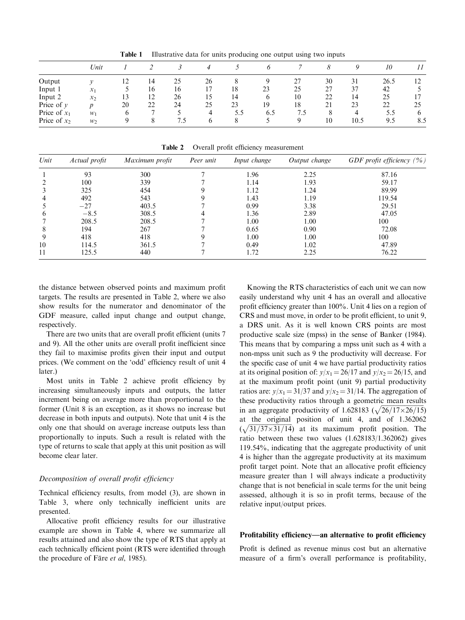|                | Unit             |    |    |     | 4            |     |     |     |    | O    | 10   | 11          |
|----------------|------------------|----|----|-----|--------------|-----|-----|-----|----|------|------|-------------|
| Output         |                  | 12 | 14 | 25  | 26           |     |     | 27  | 30 | 31   | 26.5 | 12          |
| Input 1        | $x_1$            |    | 16 | 16  |              | 18  | 23  | 25  | 27 | 37   | 42   |             |
| Input 2        | $x_2$            | 13 | 12 | 26  | 15           | 14  | 6   | 10  | 22 | 14   | 25   |             |
| Price of $y$   | $\boldsymbol{v}$ | 20 | 22 | 24  | 25           | 23  | 19  | 18  | 21 | 23   | 22   | 25          |
| Price of $x_1$ | $W_1$            | O  |    |     | 4            | 5.5 | 6.5 | 7.5 | 8  | 4    | 5.5  | $\mathbf b$ |
| Price of $x_2$ | $W_2$            |    |    | 7.5 | <sub>0</sub> | 8   |     | Q   | 10 | 10.5 | 9.5  | 8.5         |

Table 1 Illustrative data for units producing one output using two inputs

Table 2 Overall profit efficiency measurement

| Unit         | Actual profit | Maximum profit | Peer unit | Input change | Output change | GDF profit efficiency $(\% )$ |
|--------------|---------------|----------------|-----------|--------------|---------------|-------------------------------|
|              | 93            | 300            |           | 1.96         | 2.25          | 87.16                         |
|              | 100           | 339            |           | 1.14         | 1.93          | 59.17                         |
|              | 325           | 454            |           | 1.12         | 1.24          | 89.99                         |
|              | 492           | 543            |           | 1.43         | 1.19          | 119.54                        |
|              | $-27$         | 403.5          |           | 0.99         | 3.38          | 29.51                         |
| <sub>0</sub> | $-8.5$        | 308.5          |           | 1.36         | 2.89          | 47.05                         |
|              | 208.5         | 208.5          |           | 1.00         | 1.00          | 100                           |
| 8            | 194           | 267            |           | 0.65         | 0.90          | 72.08                         |
|              | 418           | 418            |           | 1.00         | 1.00          | 100                           |
| 10           | 114.5         | 361.5          |           | 0.49         | 1.02          | 47.89                         |
| 11           | 125.5         | 440            |           | 1.72         | 2.25          | 76.22                         |

the distance between observed points and maximum profit targets. The results are presented in Table 2, where we also show results for the numerator and denominator of the GDF measure, called input change and output change, respectively.

There are two units that are overall profit efficient (units 7 and 9). All the other units are overall profit inefficient since they fail to maximise profits given their input and output prices. (We comment on the 'odd' efficiency result of unit 4 later.)

Most units in Table 2 achieve profit efficiency by increasing simultaneously inputs and outputs, the latter increment being on average more than proportional to the former (Unit 8 is an exception, as it shows no increase but decrease in both inputs and outputs). Note that unit 4 is the only one that should on average increase outputs less than proportionally to inputs. Such a result is related with the type of returns to scale that apply at this unit position as will become clear later.

## Decomposition of overall profit efficiency

Technical efficiency results, from model (3), are shown in Table 3, where only technically inefficient units are presented.

Allocative profit efficiency results for our illustrative example are shown in Table 4, where we summarize all results attained and also show the type of RTS that apply at each technically efficient point (RTS were identified through the procedure of Färe et al, 1985).

Knowing the RTS characteristics of each unit we can now easily understand why unit 4 has an overall and allocative profit efficiency greater than 100%. Unit 4 lies on a region of CRS and must move, in order to be profit efficient, to unit 9, a DRS unit. As it is well known CRS points are most productive scale size (mpss) in the sense of Banker (1984). This means that by comparing a mpss unit such as 4 with a non-mpss unit such as 9 the productivity will decrease. For the specific case of unit 4 we have partial productivity ratios at its original position of:  $y/x_1 = 26/17$  and  $y/x_2 = 26/15$ , and at the maximum profit point (unit 9) partial productivity ratios are:  $y/x_1 = 31/37$  and  $y/x_2 = 31/14$ . The aggregation of these productivity ratios through a geometric mean results in an aggregate productivity of  $1.628183 \left(\sqrt{26/17 \times 26/15}\right)$ at the original position of unit 4, and of 1.362062  $\left(\sqrt{31/37\times31/14}\right)$  at its maximum profit position. The ratio between these two values (1.628183/1.362062) gives 119.54%, indicating that the aggregate productivity of unit 4 is higher than the aggregate productivity at its maximum profit target point. Note that an allocative profit efficiency measure greater than 1 will always indicate a productivity change that is not beneficial in scale terms for the unit being assessed, although it is so in profit terms, because of the relative input/output prices.

## Profitability efficiency—an alternative to profit efficiency

Profit is defined as revenue minus cost but an alternative measure of a firm's overall performance is profitability,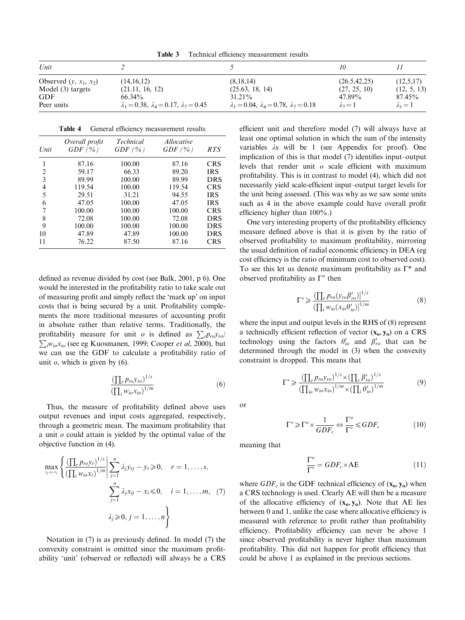Table 3 Technical efficiency measurement results

| Unit                     |                                                        |                                                              |                |               |
|--------------------------|--------------------------------------------------------|--------------------------------------------------------------|----------------|---------------|
| Observed $(y, x_1, x_2)$ | (14, 16, 12)                                           | (8.18.14)                                                    | (26.5, 42, 25) | (12,5,17)     |
| Model (3) targets        | (21.11, 16, 12)                                        | (25.63, 18, 14)                                              | (27, 25, 10)   | (12, 5, 13)   |
| GDF                      | $66.34\%$                                              | $31.21\%$                                                    | 47.89%         | $87.45\%$     |
| Peer units               | $\lambda_1 = 0.38, \lambda_4 = 0.17, \lambda_7 = 0.45$ | $\lambda_1 = 0.04$ , $\lambda_4 = 0.78$ , $\lambda_7 = 0.18$ | $\lambda_2=1$  | $\lambda_1=1$ |

| Unit | Overall profit<br>GDF(%) | <b>Technical</b><br>GDF $(\% )$ | <i>Allocative</i><br>GDF(%) | <b>RTS</b> |
|------|--------------------------|---------------------------------|-----------------------------|------------|
| 1    | 87.16                    | 100.00                          | 87.16                       | <b>CRS</b> |
| 2    | 59.17                    | 66.33                           | 89.20                       | <b>IRS</b> |
| 3    | 89.99                    | 100.00                          | 89.99                       | <b>DRS</b> |
| 4    | 119.54                   | 100.00                          | 119.54                      | <b>CRS</b> |
| 5    | 29.51                    | 31.21                           | 94.55                       | <b>IRS</b> |
| 6    | 47.05                    | 100.00                          | 47.05                       | <b>IRS</b> |
| 7    | 100.00                   | 100.00                          | 100.00                      | <b>CRS</b> |
| 8    | 72.08                    | 100.00                          | 72.08                       | <b>DRS</b> |
| 9    | 100.00                   | 100.00                          | 100.00                      | <b>DRS</b> |
| 10   | 47.89                    | 47.89                           | 100.00                      | <b>DRS</b> |
| 11   | 76.22                    | 87.50                           | 87.16                       | <b>CRS</b> |

defined as revenue divided by cost (see Balk, 2001, p 6). One would be interested in the profitability ratio to take scale out of measuring profit and simply reflect the 'mark up' on input costs that is being secured by a unit. Profitability complements the more traditional measures of accounting profit in absolute rather than relative terms. Traditionally, the profitability measure for unit *o* is defined as  $\sum_{r} p_{ro} y_{ro}/\sum_{r} w_{r} x_{ro}$  (see as *K* normanan, 1000; Cooper *et al.* 2000), but  $\sum_{i} w_{i}x_{i}$  (see eg Kuosmanen, 1999; Cooper *et al*, 2000), but we can use the GDF to calculate a profitability ratio of unit  $\varrho$ , which is given by (6).

$$
\frac{\left(\prod_{r} p_{ro} y_{ro}\right)^{1/s}}{\left(\prod_{i} w_{io} x_{io}\right)^{1/m}}\tag{6}
$$

Thus, the measure of profitability defined above uses output revenues and input costs aggregated, respectively, through a geometric mean. The maximum profitability that a unit  $o$  could attain is yielded by the optimal value of the objective function in (4).

$$
\max_{\lambda_j, y_r, x_i} \left\{ \frac{\left(\prod_{i} p_{ro} y_r\right)^{1/s}}{\left(\prod_{i} w_{io} x_i\right)^{1/m}} \middle| \sum_{j=1}^n \lambda_j y_{rj} - y_r \geq 0, \quad r = 1, \dots, s, \sum_{j=1}^n \lambda_j x_{ij} - x_i \leq 0, \quad i = 1, \dots, m, \quad (7) \sum_{j=1}^n \lambda_j y_{rj} - x_i \leq 0, \quad i = 1, \dots, m \right\}
$$

Notation in (7) is as previously defined. In model (7) the convexity constraint is omitted since the maximum profitability 'unit' (observed or reflected) will always be a CRS

efficient unit and therefore model (7) will always have at least one optimal solution in which the sum of the intensity variables  $\lambda$ s will be 1 (see Appendix for proof). One implication of this is that model (7) identifies input–output levels that render unit  $\rho$  scale efficient with maximum profitability. This is in contrast to model (4), which did not necessarily yield scale-efficient input–output target levels for the unit being assessed. (This was why as we saw some units such as 4 in the above example could have overall profit efficiency higher than 100%.)

One very interesting property of the profitability efficiency measure defined above is that it is given by the ratio of observed profitability to maximum profitability, mirroring the usual definition of radial economic efficiency in DEA (eg cost efficiency is the ratio of minimum cost to observed cost). To see this let us denote maximum profitability as  $\Gamma^*$  and observed profitability as  $\Gamma^{\circ}$  then

$$
\Gamma^* \geqslant \frac{\left(\prod_r p_{ro} \left(\mathbf{y}_{ro} \boldsymbol{\beta}_{ro}'\right)\right]^{1/s}}{\left(\prod_i w_{io} \left(\mathbf{x}_{io} \boldsymbol{\theta}_{io}'\right)\right)^{1/m}}\tag{8}
$$

where the input and output levels in the RHS of (8) represent a technically efficient reflection of vector  $(x_0, y_0)$  on a CRS technology using the factors  $\theta'_{io}$  and  $\beta'_{ro}$  that can be determined through the model in (3) when the convexity constraint is dropped. This means that

$$
\Gamma^* \geq \frac{\left(\prod_{r} p_{ro} y_{ro}\right)^{1/s} \times \left(\prod_{r} \beta'_{ro}\right)^{1/s}}{\left(\prod_{io} w_{io} x_{io}\right)^{1/m} \times \left(\prod_{i} \theta'_{io}\right)^{1/m}}
$$
(9)

or

$$
\Gamma^* \ge \Gamma^o \times \frac{1}{GDF_c} \Leftrightarrow \frac{\Gamma^o}{\Gamma^*} \le GDF_c \tag{10}
$$

meaning that

$$
\frac{\Gamma^o}{\Gamma^*} = GDF_c \times AE \tag{11}
$$

where  $GDF_c$  is the GDF technical efficiency of  $(x_0, y_0)$  when a CRS technology is used. Clearly AE will then be a measure of the allocative efficiency of  $(x_0, y_0)$ . Note that AE lies between 0 and 1, unlike the case where allocative efficiency is measured with reference to profit rather than profitability efficiency. Profitability efficiency can never be above 1 since observed profitability is never higher than maximum profitability. This did not happen for profit efficiency that could be above 1 as explained in the previous sections.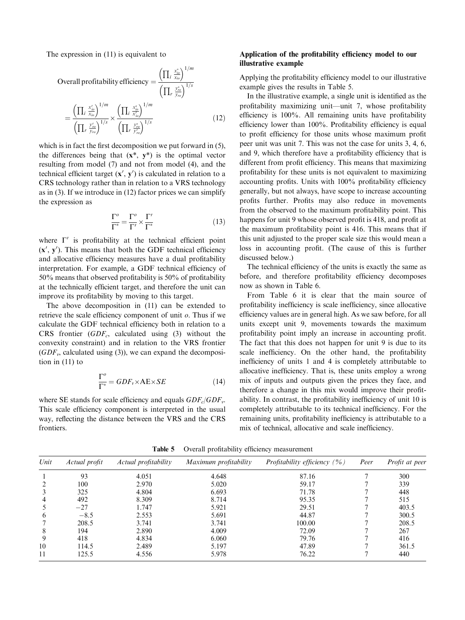The expression in (11) is equivalent to

Overall profitability efficiency 
$$
= \frac{\left(\prod_{i} \frac{x_{io}^{*}}{x_{io}}\right)^{1/m}}{\left(\prod_{i} \frac{y_{vo}^{*}}{y_{io}}\right)^{1/s}}
$$

$$
= \frac{\left(\prod_{i} \frac{x_{io}^{*}}{x_{io}}\right)^{1/m}}{\left(\prod_{i} \frac{y_{io}^{*}}{y_{io}}\right)^{1/s}} \frac{\left(\prod_{i} \frac{x_{io}^{*}}{x_{io}^{*}}\right)^{1/m}}{\left(\prod_{i} \frac{y_{io}^{*}}{y_{io}}\right)^{1/s}}
$$
(12)

which is in fact the first decomposition we put forward in  $(5)$ , the differences being that  $(x^*, y^*)$  is the optimal vector resulting from model (7) and not from model (4), and the technical efficient target  $(x', y')$  is calculated in relation to a CRS technology rather than in relation to a VRS technology as in (3). If we introduce in (12) factor prices we can simplify the expression as

$$
\frac{\Gamma^o}{\Gamma^*} = \frac{\Gamma^o}{\Gamma'} \times \frac{\Gamma'}{\Gamma^*}
$$
\n(13)

where  $\Gamma'$  is profitability at the technical efficient point  $(x', y')$ . This means that both the GDF technical efficiency and allocative efficiency measures have a dual profitability interpretation. For example, a GDF technical efficiency of 50% means that observed profitability is 50% of profitability at the technically efficient target, and therefore the unit can improve its profitability by moving to this target.

The above decomposition in (11) can be extended to retrieve the scale efficiency component of unit  $\rho$ . Thus if we calculate the GDF technical efficiency both in relation to a CRS frontier  $(GDF_c)$ , calculated using (3) without the convexity constraint) and in relation to the VRS frontier  $(GDF_v,$  calculated using (3)), we can expand the decomposition in (11) to

$$
\frac{\Gamma^o}{\Gamma^*} = GDF_v \times AE \times SE \tag{14}
$$

where SE stands for scale efficiency and equals  $GDF_c/GDF_v$ . This scale efficiency component is interpreted in the usual way, reflecting the distance between the VRS and the CRS frontiers.

# Application of the profitability efficiency model to our illustrative example

Applying the profitability efficiency model to our illustrative example gives the results in Table 5.

In the illustrative example, a single unit is identified as the profitability maximizing unit—unit 7, whose profitability efficiency is 100%. All remaining units have profitability efficiency lower than 100%. Profitability efficiency is equal to profit efficiency for those units whose maximum profit peer unit was unit 7. This was not the case for units 3, 4, 6, and 9, which therefore have a profitability efficiency that is different from profit efficiency. This means that maximizing profitability for these units is not equivalent to maximizing accounting profits. Units with 100% profitability efficiency generally, but not always, have scope to increase accounting profits further. Profits may also reduce in movements from the observed to the maximum profitability point. This happens for unit 9 whose observed profit is 418, and profit at the maximum profitability point is 416. This means that if this unit adjusted to the proper scale size this would mean a loss in accounting profit. (The cause of this is further discussed below.)

The technical efficiency of the units is exactly the same as before, and therefore profitability efficiency decomposes now as shown in Table 6.

From Table 6 it is clear that the main source of profitability inefficiency is scale inefficiency, since allocative efficiency values are in general high. As we saw before, for all units except unit 9, movements towards the maximum profitability point imply an increase in accounting profit. The fact that this does not happen for unit 9 is due to its scale inefficiency. On the other hand, the profitability inefficiency of units 1 and 4 is completely attributable to allocative inefficiency. That is, these units employ a wrong mix of inputs and outputs given the prices they face, and therefore a change in this mix would improve their profitability. In contrast, the profitability inefficiency of unit 10 is completely attributable to its technical inefficiency. For the remaining units, profitability inefficiency is attributable to a mix of technical, allocative and scale inefficiency.

| Unit | Actual profit | Actual profitability | Maximum profitability | Profitability efficiency $(\% )$ | Peer | Profit at peer |
|------|---------------|----------------------|-----------------------|----------------------------------|------|----------------|
|      | 93            | 4.051                | 4.648                 | 87.16                            |      | 300            |
|      | 100           | 2.970                | 5.020                 | 59.17                            |      | 339            |
|      | 325           | 4.804                | 6.693                 | 71.78                            |      | 448            |
| 4    | 492           | 8.309                | 8.714                 | 95.35                            |      | 515            |
|      | $-27$         | 1.747                | 5.921                 | 29.51                            |      | 403.5          |
| 6    | $-8.5$        | 2.553                | 5.691                 | 44.87                            |      | 300.5          |
|      | 208.5         | 3.741                | 3.741                 | 100.00                           |      | 208.5          |
| 8    | 194           | 2.890                | 4.009                 | 72.09                            |      | 267            |
| 9    | 418           | 4.834                | 6.060                 | 79.76                            |      | 416            |
| 10   | 114.5         | 2.489                | 5.197                 | 47.89                            |      | 361.5          |
| 11   | 125.5         | 4.556                | 5.978                 | 76.22                            |      | 440            |

Table 5 Overall profitability efficiency measurement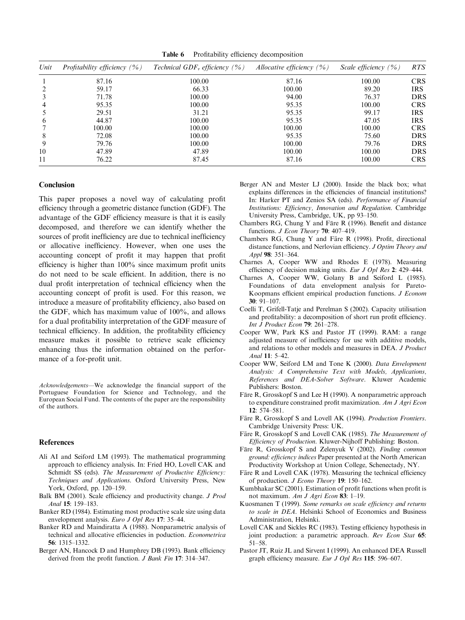Table 6 Profitability efficiency decomposition

| Unit         | Profitability efficiency $(\% )$ | Technical $GDF_v$ efficiency (%) | Allocative efficiency $(\% )$ | Scale efficiency $(\% )$ | <b>RTS</b> |
|--------------|----------------------------------|----------------------------------|-------------------------------|--------------------------|------------|
|              | 87.16                            | 100.00                           | 87.16                         | 100.00                   | <b>CRS</b> |
|              | 59.17                            | 66.33                            | 100.00                        | 89.20                    | <b>IRS</b> |
|              | 71.78                            | 100.00                           | 94.00                         | 76.37                    | <b>DRS</b> |
|              | 95.35                            | 100.00                           | 95.35                         | 100.00                   | <b>CRS</b> |
|              | 29.51                            | 31.21                            | 95.35                         | 99.17                    | <b>IRS</b> |
| <sub>0</sub> | 44.87                            | 100.00                           | 95.35                         | 47.05                    | <b>IRS</b> |
|              | 100.00                           | 100.00                           | 100.00                        | 100.00                   | <b>CRS</b> |
| 8            | 72.08                            | 100.00                           | 95.35                         | 75.60                    | <b>DRS</b> |
| 9            | 79.76                            | 100.00                           | 100.00                        | 79.76                    | <b>DRS</b> |
| 10           | 47.89                            | 47.89                            | 100.00                        | 100.00                   | <b>DRS</b> |
| 11           | 76.22                            | 87.45                            | 87.16                         | 100.00                   | <b>CRS</b> |

#### Conclusion

This paper proposes a novel way of calculating profit efficiency through a geometric distance function (GDF). The advantage of the GDF efficiency measure is that it is easily decomposed, and therefore we can identify whether the sources of profit inefficiency are due to technical inefficiency or allocative inefficiency. However, when one uses the accounting concept of profit it may happen that profit efficiency is higher than 100% since maximum profit units do not need to be scale efficient. In addition, there is no dual profit interpretation of technical efficiency when the accounting concept of profit is used. For this reason, we introduce a measure of profitability efficiency, also based on the GDF, which has maximum value of 100%, and allows for a dual profitability interpretation of the GDF measure of technical efficiency. In addition, the profitability efficiency measure makes it possible to retrieve scale efficiency enhancing thus the information obtained on the performance of a for-profit unit.

Acknowledgements—We acknowledge the financial support of the Portuguese Foundation for Science and Technology, and the European Social Fund. The contents of the paper are the responsibility of the authors.

#### References

- Ali AI and Seiford LM (1993). The mathematical programming approach to efficiency analysis. In: Fried HO, Lovell CAK and Schmidt SS (eds). The Measurement of Productive Efficiency: Techniques and Applications. Oxford University Press, New York, Oxford, pp. 120–159.
- Balk BM (2001). Scale efficiency and productivity change. J Prod Anal 15: 159–183.
- Banker RD (1984). Estimating most productive scale size using data envelopment analysis. Euro J Opl Res 17: 35–44.
- Banker RD and Maindiratta A (1988). Nonparametric analysis of technical and allocative efficiencies in poduction. Econometrica 56: 1315–1332.
- Berger AN, Hancock D and Humphrey DB (1993). Bank efficiency derived from the profit function. *J Bank Fin* 17: 314–347.
- Berger AN and Mester LJ (2000). Inside the black box; what explains differences in the efficiencies of financial institutions? In: Harker PT and Zenios SA (eds). Performance of Financial Institutions: Efficiency, Innovation and Regulation. Cambridge University Press, Cambridge, UK, pp 93–150.
- Chambers RG, Chung Y and Färe R (1996). Benefit and distance functions. *J Econ Theory* 70: 407-419.
- Chambers RG, Chung Y and Färe R (1998). Profit, directional distance functions, and Nerlovian efficiency. J Optim Theory and Appl 98: 351–364.
- Charnes A, Cooper WW and Rhodes E (1978). Measuring efficiency of decision making units. Eur J Opl Res 2: 429–444.
- Charnes A, Cooper WW, Golany B and Seiford L (1985). Foundations of data envelopment analysis for Pareto-Koopmans efficient empirical production functions. J Econom 30: 91–107.
- Coelli T, Grifell-Tatje and Perelman S (2002). Capacity utilisation and profitability: a decomposition of short run profit efficiency. Int J Product Econ 79: 261–278.
- Cooper WW, Park KS and Pastor JT (1999). RAM: a range adjusted measure of inefficiency for use with additive models, and relations to other models and measures in DEA. J Product Anal 11: 5–42.
- Cooper WW, Seiford LM and Tone K (2000). Data Envelopment Analysis: A Comprehensive Text with Models, Applications, References and DEA-Solver Software. Kluwer Academic Publishers: Boston.
- Färe R, Grosskopf S and Lee H (1990). A nonparametric approach to expenditure constrained profit maximization. Am J Agri Econ 12: 574–581.
- Färe R, Grosskopf S and Lovell AK (1994). Production Frontiers. Cambridge University Press: UK.
- Färe R, Grosskopf S and Lovell CAK (1985). The Measurement of Efficiency of Production. Kluwer-Nijhoff Publishing: Boston.
- Färe R, Grosskopf S and Zelenyuk V (2002). Finding common ground: efficiency indices Paper presented at the North American Productivity Workshop at Union College, Schenectady, NY.
- Färe R and Lovell CAK (1978). Measuring the technical efficiency of production. J Econo Theory 19: 150–162.
- Kumbhakar SC (2001). Estimation of profit functions when profit is not maximum. Am J Agri Econ 83: 1–19.
- Kuosmanen T (1999). Some remarks on scale efficiency and returns to scale in DEA. Helsinki School of Economics and Business Administration, Helsinki.
- Lovell CAK and Sickles RC (1983). Testing efficiency hypothesis in joint production: a parametric approach. Rev Econ Stat 65: 51–58.
- Pastor JT, Ruiz JL and Sirvent I (1999). An enhanced DEA Russell graph efficiency measure. Eur J Opl Res 115: 596-607.